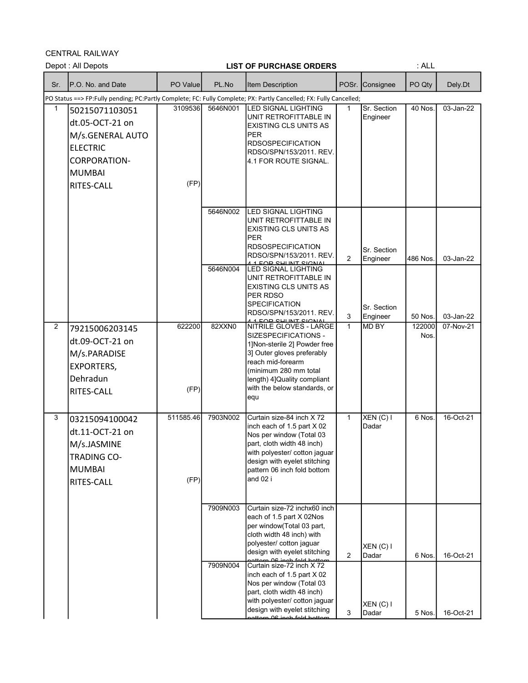CENTRAL RAILWAY

|                | Depot: All Depots                                                                                                                     |                   |          | <b>LIST OF PURCHASE ORDERS</b>                                                                                                                                                                                                     |                |                         | : ALL          |           |
|----------------|---------------------------------------------------------------------------------------------------------------------------------------|-------------------|----------|------------------------------------------------------------------------------------------------------------------------------------------------------------------------------------------------------------------------------------|----------------|-------------------------|----------------|-----------|
| Sr.            | P.O. No. and Date                                                                                                                     | PO Value          | PL.No    | <b>Item Description</b>                                                                                                                                                                                                            | POSr.          | Consignee               | PO Qty         | Dely.Dt   |
|                |                                                                                                                                       |                   |          | PO Status ==> FP:Fully pending; PC:Partly Complete; FC: Fully Complete; PX: Partly Cancelled; FX: Fully Cancelled;                                                                                                                 |                |                         |                |           |
| 1              | 50215071103051<br>dt.05-OCT-21 on<br>M/s.GENERAL AUTO<br><b>ELECTRIC</b><br><b>CORPORATION-</b><br><b>MUMBAI</b><br><b>RITES-CALL</b> | 3109536<br>(FP)   | 5646N001 | LED SIGNAL LIGHTING<br>UNIT RETROFITTABLE IN<br><b>EXISTING CLS UNITS AS</b><br><b>PER</b><br><b>RDSOSPECIFICATION</b><br>RDSO/SPN/153/2011, REV.<br>4.1 FOR ROUTE SIGNAL.                                                         | $\mathbf 1$    | Sr. Section<br>Engineer | 40 Nos.        | 03-Jan-22 |
|                |                                                                                                                                       |                   | 5646N002 | <b>LED SIGNAL LIGHTING</b><br>UNIT RETROFITTABLE IN<br>EXISTING CLS UNITS AS<br><b>PER</b><br><b>RDSOSPECIFICATION</b><br>RDSO/SPN/153/2011. REV.<br><u>EAD CHIINT CIANA</u>                                                       | $\overline{2}$ | Sr. Section<br>Engineer | 486 Nos.       | 03-Jan-22 |
|                |                                                                                                                                       |                   | 5646N004 | LED SIGNAL LIGHTING<br>UNIT RETROFITTABLE IN<br><b>EXISTING CLS UNITS AS</b><br>PER RDSO<br><b>SPECIFICATION</b><br>RDSO/SPN/153/2011. REV.<br><u>EAD CUI INT CICNIA</u>                                                           | 3              | Sr. Section<br>Engineer | 50 Nos.        | 03-Jan-22 |
| $\overline{2}$ | 79215006203145<br>dt.09-OCT-21 on<br>M/s.PARADISE<br><b>EXPORTERS,</b><br>Dehradun<br>RITES-CALL                                      | 622200<br>(FP)    | 82XXN0   | NITRILE GLOVES - LARGE<br>SIZESPECIFICATIONS -<br>1] Non-sterile 2] Powder free<br>3] Outer gloves preferably<br>reach mid-forearm<br>(minimum 280 mm total<br>length) 4] Quality compliant<br>with the below standards, or<br>equ | $\mathbf{1}$   | MD BY                   | 122000<br>Nos. | 07-Nov-21 |
| 3              | 03215094100042<br>dt.11-OCT-21 on<br>M/s.JASMINE<br><b>TRADING CO-</b><br><b>MUMBAI</b><br><b>RITES-CALL</b>                          | 511585.46<br>(FP) | 7903N002 | Curtain size-84 inch X 72<br>inch each of 1.5 part X 02<br>Nos per window (Total 03<br>part, cloth width 48 inch)<br>with polyester/ cotton jaguar<br>design with eyelet stitching<br>pattern 06 inch fold bottom<br>and 02 i      | $\mathbf{1}$   | XEN(C)<br>Dadar         | 6 Nos.         | 16-Oct-21 |
|                |                                                                                                                                       |                   | 7909N003 | Curtain size-72 inchx60 inch<br>each of 1.5 part X 02Nos<br>per window(Total 03 part,<br>cloth width 48 inch) with<br>polyester/ cotton jaguar<br>design with eyelet stitching<br>aattarn 06 ingh-fold hattam                      | 2              | XEN(C)<br>Dadar         | 6 Nos.         | 16-Oct-21 |
|                |                                                                                                                                       |                   | 7909N004 | Curtain size-72 inch X 72<br>inch each of 1.5 part X 02<br>Nos per window (Total 03<br>part, cloth width 48 inch)<br>with polyester/ cotton jaguar<br>design with eyelet stitching<br>attorn <u>06 inch fold hottom</u>            | 3              | $XEN(C)$ I<br>Dadar     | 5 Nos.         | 16-Oct-21 |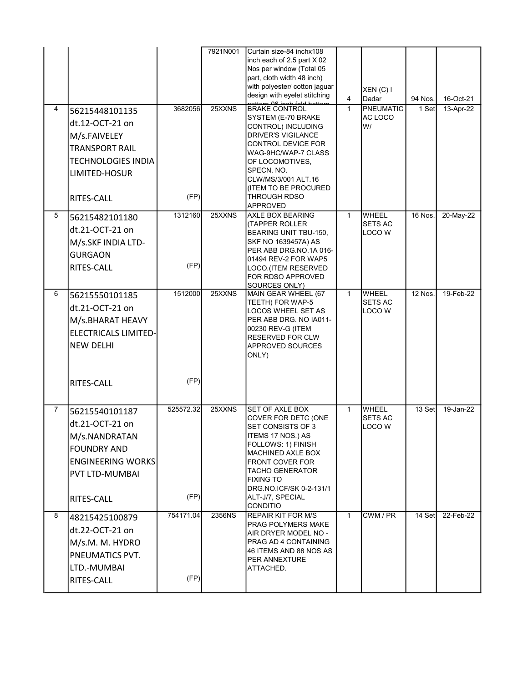| 4              | 56215448101135                                                                                                                       | 3682056           | 7921N001<br>25XXNS | Curtain size-84 inchx108<br>inch each of 2.5 part X 02<br>Nos per window (Total 05<br>part, cloth width 48 inch)<br>with polyester/ cotton jaguar<br>design with eyelet stitching<br><b>ttorn OG ingh fold bott</b><br><b>BRAKE CONTROL</b>             | $\overline{4}$<br>$\mathbf{1}$ | $XEN(C)$ I<br>Dadar<br><b>PNEUMATIC</b>  | 94 Nos.<br>1 Set | 16-Oct-21<br>13-Apr-22 |
|----------------|--------------------------------------------------------------------------------------------------------------------------------------|-------------------|--------------------|---------------------------------------------------------------------------------------------------------------------------------------------------------------------------------------------------------------------------------------------------------|--------------------------------|------------------------------------------|------------------|------------------------|
|                | dt.12-OCT-21 on<br>M/s.FAIVELEY<br><b>TRANSPORT RAIL</b><br><b>TECHNOLOGIES INDIA</b><br>LIMITED-HOSUR<br>RITES-CALL                 | (FP)              |                    | SYSTEM (E-70 BRAKE<br>CONTROL) INCLUDING<br><b>DRIVER'S VIGILANCE</b><br>CONTROL DEVICE FOR<br>WAG-9HC/WAP-7 CLASS<br>OF LOCOMOTIVES.<br>SPECN. NO.<br>CLW/MS/3/001 ALT.16<br>(ITEM TO BE PROCURED<br>THROUGH RDSO                                      |                                | AC LOCO<br>W/                            |                  |                        |
| 5              | 56215482101180<br>dt.21-OCT-21 on<br>M/s.SKF INDIA LTD-<br><b>GURGAON</b><br>RITES-CALL                                              | 1312160<br>(FP)   | 25XXNS             | APPROVED<br>AXLE BOX BEARING<br>(TAPPER ROLLER<br>BEARING UNIT TBU-150,<br>SKF NO 1639457A) AS<br>PER ABB DRG NO 1A 016-<br>01494 REV-2 FOR WAP5<br>LOCO.(ITEM RESERVED<br>FOR RDSO APPROVED<br>SOURCES ONLY)                                           | $\mathbf{1}$                   | <b>WHEEL</b><br><b>SETS AC</b><br>LOCO W | 16 Nos.          | 20-May-22              |
| 6              | 56215550101185<br>dt.21-OCT-21 on<br>M/s.BHARAT HEAVY<br><b>ELECTRICALS LIMITED-</b><br><b>NEW DELHI</b><br>RITES-CALL               | 1512000<br>(FP)   | 25XXNS             | MAIN GEAR WHEEL (67<br>TEETH) FOR WAP-5<br>LOCOS WHEEL SET AS<br>PER ABB DRG. NO IA011-<br>00230 REV-G (ITEM<br>RESERVED FOR CLW<br>APPROVED SOURCES<br>ONLY)                                                                                           | $\mathbf{1}$                   | <b>WHEEL</b><br><b>SETS AC</b><br>LOCO W | $12$ Nos.        | 19-Feb-22              |
| $\overline{7}$ | 56215540101187<br>dt.21-OCT-21 on<br>M/s.NANDRATAN<br><b>FOUNDRY AND</b><br><b>ENGINEERING WORKS</b><br>PVT LTD-MUMBAI<br>RITES-CALL | 525572.32<br>(FP) | 25XXNS             | SET OF AXLE BOX<br>COVER FOR DETC (ONE<br>SET CONSISTS OF 3<br>ITEMS 17 NOS.) AS<br>FOLLOWS: 1) FINISH<br>MACHINED AXLE BOX<br>FRONT COVER FOR<br>TACHO GENERATOR<br><b>FIXING TO</b><br>DRG.NO.ICF/SK 0-2-131/1<br>ALT-J/7, SPECIAL<br><b>CONDITIO</b> | $\mathbf{1}$                   | WHEEL<br><b>SETS AC</b><br>LOCO W        | 13 Set           | 19-Jan-22              |
| 8              | 48215425100879<br>dt.22-OCT-21 on<br>M/s.M. M. HYDRO<br>PNEUMATICS PVT.<br>LTD.-MUMBAI<br>RITES-CALL                                 | 754171.04<br>(FP) | 2356NS             | <b>REPAIR KIT FOR M/S</b><br>PRAG POLYMERS MAKE<br>AIR DRYER MODEL NO -<br>PRAG AD 4 CONTAINING<br>46 ITEMS AND 88 NOS AS<br>PER ANNEXTURE<br>ATTACHED.                                                                                                 | $\mathbf{1}$                   | CWM/PR                                   | 14 Set           | 22-Feb-22              |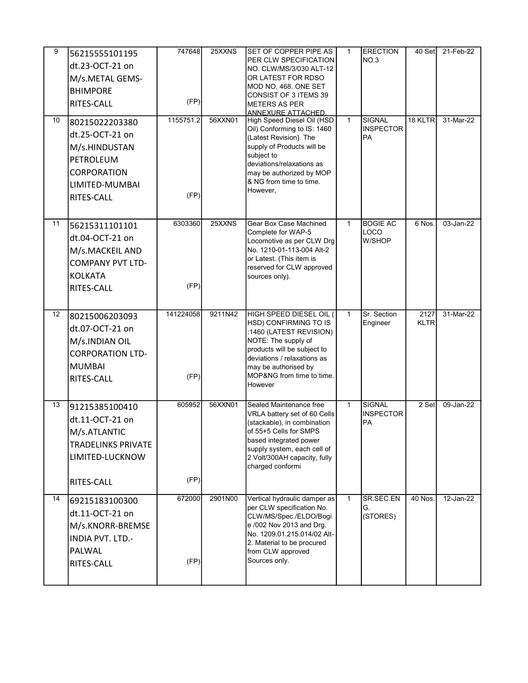| 9<br>10 | 56215555101195<br>dt.23-OCT-21 on<br>M/s.METAL GEMS-<br><b>BHIMPORE</b><br>RITES-CALL<br>80215022203380<br>dt.25-OCT-21 on<br>M/s.HINDUSTAN<br>PETROLEUM<br><b>CORPORATION</b><br>LIMITED-MUMBAI<br>RITES-CALL | 747648<br>(FP)<br>1155751.2<br>(FP) | 25XXNS<br>56XXN01 | <b>SET OF COPPER PIPE AS</b><br>PER CLW SPECIFICATION<br>NO. CLW/MS/3/030 ALT-12<br>OR LATEST FOR RDSO<br>MOD NO. 468. ONE SET<br>CONSIST OF 3 ITEMS 39<br><b>METERS AS PER</b><br><b>ANNEXURE ATTACHED.</b><br>High Speed Diesel Oil (HSD<br>Oil) Conforming to IS: 1460<br>(Latest Revision). The<br>supply of Products will be<br>subject to<br>deviations/relaxations as<br>may be authorized by MOP<br>& NG from time to time.<br>However, | $\mathbf{1}$<br>$\mathbf{1}$ | <b>ERECTION</b><br>NO.3<br><b>SIGNAL</b><br><b>INSPECTOR</b><br><b>PA</b> | 40 Set<br>18 KLTR   | 21-Feb-22<br>31-Mar-22 |
|---------|----------------------------------------------------------------------------------------------------------------------------------------------------------------------------------------------------------------|-------------------------------------|-------------------|-------------------------------------------------------------------------------------------------------------------------------------------------------------------------------------------------------------------------------------------------------------------------------------------------------------------------------------------------------------------------------------------------------------------------------------------------|------------------------------|---------------------------------------------------------------------------|---------------------|------------------------|
| 11      | 56215311101101<br>dt.04-OCT-21 on<br>M/s.MACKEIL AND<br><b>COMPANY PVT LTD-</b><br><b>KOLKATA</b><br>RITES-CALL                                                                                                | 6303360<br>(FP)                     | 25XXNS            | Gear Box Case Machined<br>Complete for WAP-5<br>Locomotive as per CLW Drg<br>No. 1210-01-113-004 Alt-2<br>or Latest. (This item is<br>reserved for CLW approved<br>sources only).                                                                                                                                                                                                                                                               | $\mathbf{1}$                 | <b>BOGIE AC</b><br>LOCO<br>W/SHOP                                         | 6 Nos.              | 03-Jan-22              |
| 12      | 80215006203093<br>dt.07-OCT-21 on<br>M/s.INDIAN OIL<br><b>CORPORATION LTD-</b><br><b>MUMBAI</b><br>RITES-CALL                                                                                                  | 141224058<br>(FP)                   | 9211N42           | HIGH SPEED DIESEL OIL (<br>HSD) CONFIRMING TO IS<br>:1460 (LATEST REVISION)<br>NOTE: The supply of<br>products will be subject to<br>deviations / relaxations as<br>may be authorised by<br>MOP&NG from time to time.<br>However                                                                                                                                                                                                                | $\mathbf{1}$                 | Sr. Section<br>Engineer                                                   | 2127<br><b>KLTR</b> | 31-Mar-22              |
| 13      | 91215385100410<br>dt.11-OCT-21 on<br>M/s.ATLANTIC<br><b>TRADELINKS PRIVATE</b><br>LIMITED-LUCKNOW<br>RITES-CALL                                                                                                | 605952<br>(FP)                      | 56XXN01           | Sealed Maintenance free<br>VRLA battery set of 60 Cells<br>(stackable), in combination<br>of 55+5 Cells for SMPS<br>based integrated power<br>supply system, each cell of<br>2 Volt/300AH capacity, fully<br>charged conformi                                                                                                                                                                                                                   | $\mathbf{1}$                 | <b>SIGNAL</b><br><b>INSPECTOR</b><br>PA                                   | 2 Set               | 09-Jan-22              |
| 14      | 69215183100300<br>dt.11-OCT-21 on<br>M/s.KNORR-BREMSE<br>INDIA PVT. LTD.-<br>PALWAL<br>RITES-CALL                                                                                                              | 672000<br>(FP)                      | 2901N00           | Vertical hydraulic damper as<br>per CLW specification No.<br>CLW/MS/Spec./ELDO/Bogi<br>e /002 Nov 2013 and Drg.<br>No. 1209.01.215.014/02 Alt-<br>2. Material to be procured<br>from CLW approved<br>Sources only.                                                                                                                                                                                                                              | $\overline{1}$               | SR.SEC.EN<br>G.<br>(STORES)                                               | 40 Nos.             | 12-Jan-22              |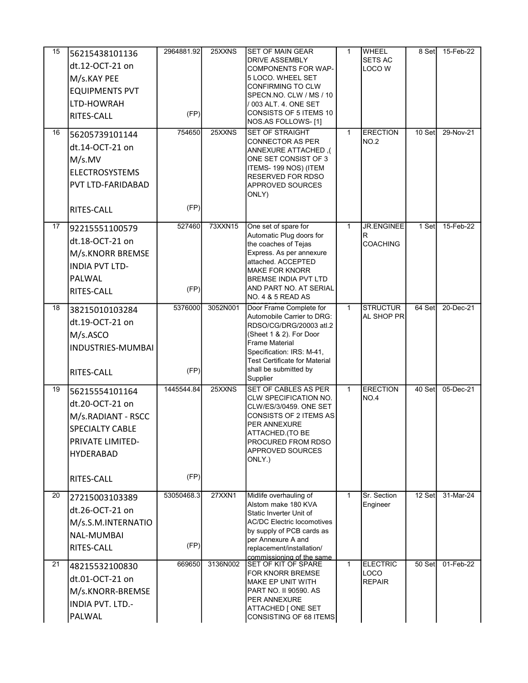| 15 | 56215438101136<br>dt.12-OCT-21 on<br>M/s.KAY PEE<br><b>EQUIPMENTS PVT</b><br>LTD-HOWRAH<br>RITES-CALL                                   | 2964881.92<br>(FP) | 25XXNS        | SET OF MAIN GEAR<br><b>DRIVE ASSEMBLY</b><br>COMPONENTS FOR WAP-<br>5 LOCO. WHEEL SET<br>CONFIRMING TO CLW<br>SPECN.NO. CLW / MS / 10<br>/ 003 ALT. 4. ONE SET<br>CONSISTS OF 5 ITEMS 10<br>NOS.AS FOLLOWS-[1]                                 | 1            | WHEEL<br><b>SETS AC</b><br>LOCO W         | 8 Set   | 15-Feb-22 |
|----|-----------------------------------------------------------------------------------------------------------------------------------------|--------------------|---------------|------------------------------------------------------------------------------------------------------------------------------------------------------------------------------------------------------------------------------------------------|--------------|-------------------------------------------|---------|-----------|
| 16 | 56205739101144<br>dt.14-OCT-21 on<br>M/s.MV<br><b>ELECTROSYSTEMS</b><br>PVT LTD-FARIDABAD<br>RITES-CALL                                 | 754650<br>(FP)     | 25XXNS        | SET OF STRAIGHT<br><b>CONNECTOR AS PER</b><br>), ANNEXURE ATTACHED<br>ONE SET CONSIST OF 3<br>ITEMS- 199 NOS) (ITEM<br>RESERVED FOR RDSO<br>APPROVED SOURCES<br>ONLY)                                                                          | $\mathbf{1}$ | <b>ERECTION</b><br><b>NO.2</b>            | 10 Set  | 29-Nov-21 |
| 17 | 92215551100579<br>dt.18-OCT-21 on<br>M/s.KNORR BREMSE<br><b>INDIA PVT LTD-</b><br>PALWAL<br>RITES-CALL                                  | 527460<br>(FP)     | 73XXN15       | One set of spare for<br>Automatic Plug doors for<br>the coaches of Tejas<br>Express. As per annexure<br>attached. ACCEPTED<br><b>MAKE FOR KNORR</b><br><b>BREMSE INDIA PVT LTD</b><br>AND PART NO. AT SERIAL<br>NO. 4 & 5 READ AS              | $\mathbf{1}$ | <b>JR.ENGINEE</b><br>R<br><b>COACHING</b> | 1 Set   | 15-Feb-22 |
| 18 | 38215010103284<br>dt.19-OCT-21 on<br>M/s.ASCO<br>INDUSTRIES-MUMBAI<br>RITES-CALL                                                        | 5376000<br>(FP)    | 3052N001      | Door Frame Complete for<br>Automobile Carrier to DRG:<br>RDSO/CG/DRG/20003 atl.2<br>(Sheet 1 & 2). For Door<br><b>Frame Material</b><br>Specification: IRS: M-41,<br><b>Test Certificate for Material</b><br>shall be submitted by<br>Supplier | $\mathbf{1}$ | <b>STRUCTUR</b><br>AL SHOP PR             | 64 Set  | 20-Dec-21 |
| 19 | 56215554101164<br>dt.20-OCT-21 on<br>M/s.RADIANT - RSCC<br><b>SPECIALTY CABLE</b><br>PRIVATE LIMITED-<br><b>HYDERABAD</b><br>RITES-CALL | 1445544.84<br>(FP) | 25XXNS        | SET OF CABLES AS PER<br>CLW SPECIFICATION NO.<br>CLW/ES/3/0459, ONE SET<br>CONSISTS OF 2 ITEMS AS<br>PER ANNEXURE<br>ATTACHED. (TO BE<br>PROCURED FROM RDSO<br>APPROVED SOURCES<br>ONLY.)                                                      | $\mathbf{1}$ | <b>ERECTION</b><br>NO.4                   | 40 Setl | 05-Dec-21 |
| 20 | 27215003103389<br>dt.26-OCT-21 on<br>M/s.S.M.INTERNATIO<br>NAL-MUMBAI<br>RITES-CALL                                                     | 53050468.3<br>(FP) | <b>27XXN1</b> | Midlife overhauling of<br>Alstom make 180 KVA<br>Static Inverter Unit of<br><b>AC/DC Electric locomotives</b><br>by supply of PCB cards as<br>per Annexure A and<br>replacement/installation/<br>commissioning of the same                     | $\mathbf 1$  | Sr. Section<br>Engineer                   | 12 Set  | 31-Mar-24 |
| 21 | 48215532100830<br>dt.01-OCT-21 on<br>M/s.KNORR-BREMSE<br><b>INDIA PVT. LTD.-</b><br>PALWAL                                              | 669650             | 3136N002      | <b>SET OF KIT OF SPARE</b><br>FOR KNORR BREMSE<br>MAKE EP UNIT WITH<br>PART NO. II 90590. AS<br>PER ANNEXURE<br>ATTACHED [ ONE SET<br>CONSISTING OF 68 ITEMS                                                                                   | $\mathbf{1}$ | <b>ELECTRIC</b><br>LOCO<br><b>REPAIR</b>  | 50 Set  | 01-Feb-22 |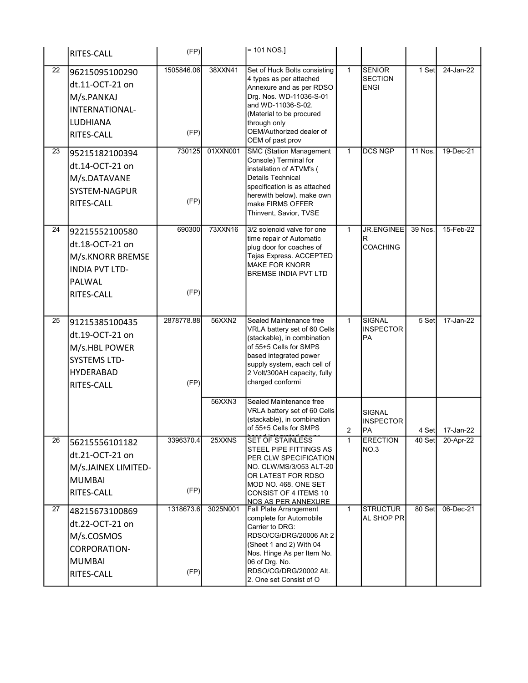|    | RITES-CALL                                                                                                  | (FP)               |          | $= 101 NOS.$                                                                                                                                                                                                                           |                |                                                |                |                 |
|----|-------------------------------------------------------------------------------------------------------------|--------------------|----------|----------------------------------------------------------------------------------------------------------------------------------------------------------------------------------------------------------------------------------------|----------------|------------------------------------------------|----------------|-----------------|
| 22 | 96215095100290<br>dt.11-OCT-21 on<br>M/s.PANKAJ<br>INTERNATIONAL-<br>LUDHIANA<br>RITES-CALL                 | 1505846.06<br>(FP) | 38XXN41  | Set of Huck Bolts consisting<br>4 types as per attached<br>Annexure and as per RDSO<br>Drg. Nos. WD-11036-S-01<br>and WD-11036-S-02.<br>(Material to be procured<br>through only<br>OEM/Authorized dealer of<br>OEM of past prov       | $\overline{1}$ | <b>SENIOR</b><br><b>SECTION</b><br><b>ENGI</b> | 1 Set          | 24-Jan-22       |
| 23 | 95215182100394<br>dt.14-OCT-21 on<br>M/s.DATAVANE<br>SYSTEM-NAGPUR<br>RITES-CALL                            | 730125<br>(FP)     | 01XXN001 | <b>SMC (Station Management</b><br>Console) Terminal for<br>installation of ATVM's (<br>Details Technical<br>specification is as attached<br>herewith below). make own<br>make FIRMS OFFER<br>Thinvent, Savior, TVSE                    | $\mathbf{1}$   | <b>DCS NGP</b>                                 | <b>11 Nos.</b> | 19-Dec-21       |
| 24 | 92215552100580<br>dt.18-OCT-21 on<br>M/s.KNORR BREMSE<br><b>INDIA PVT LTD-</b><br>PALWAL<br>RITES-CALL      | 690300<br>(FP)     | 73XXN16  | 3/2 solenoid valve for one<br>time repair of Automatic<br>plug door for coaches of<br>Tejas Express. ACCEPTED<br><b>MAKE FOR KNORR</b><br>BREMSE INDIA PVT LTD                                                                         | $\mathbf{1}$   | <b>JR.ENGINEE</b><br>R<br>COACHING             | 39 Nos.        | 15-Feb-22       |
| 25 | 91215385100435<br>dt.19-OCT-21 on<br>M/s.HBL POWER<br><b>SYSTEMS LTD-</b><br><b>HYDERABAD</b><br>RITES-CALL | 2878778.88<br>(FP) | 56XXN2   | Sealed Maintenance free<br>VRLA battery set of 60 Cells<br>(stackable), in combination<br>of 55+5 Cells for SMPS<br>based integrated power<br>supply system, each cell of<br>2 Volt/300AH capacity, fully<br>charged conformi          | $\mathbf{1}$   | <b>SIGNAL</b><br><b>INSPECTOR</b><br><b>PA</b> | 5 Set          | 17-Jan-22       |
|    |                                                                                                             |                    | 56XXN3   | Sealed Maintenance free<br>VRLA battery set of 60 Cells<br>(stackable), in combination<br>of 55+5 Cells for SMPS                                                                                                                       | 2              | SIGNAL<br><b>INSPECTOR</b><br>PA               |                | 4 Set 17-Jan-22 |
| 26 | 56215556101182<br>dt.21-OCT-21 on<br>M/s.JAINEX LIMITED-<br><b>MUMBAI</b><br>RITES-CALL                     | 3396370.4<br>(FP)  | 25XXNS   | <b>SET OF STAINLESS</b><br>STEEL PIPE FITTINGS AS<br>PER CLW SPECIFICATION<br>NO. CLW/MS/3/053 ALT-20<br>OR LATEST FOR RDSO<br>MOD NO. 468. ONE SET<br>CONSIST OF 4 ITEMS 10<br>NOS AS PER ANNEXURE                                    | $\mathbf{1}$   | <b>ERECTION</b><br>NO.3                        | 40 Set         | 20-Apr-22       |
| 27 | 48215673100869<br>dt.22-OCT-21 on<br>M/s.COSMOS<br>CORPORATION-<br><b>MUMBAI</b><br>RITES-CALL              | 1318673.6<br>(FP)  | 3025N001 | <b>Fall Plate Arrangement</b><br>complete for Automobile<br>Carrier to DRG:<br>RDSO/CG/DRG/20006 Alt 2<br>(Sheet 1 and 2) With 04<br>Nos. Hinge As per Item No.<br>06 of Drg. No.<br>RDSO/CG/DRG/20002 Alt.<br>2. One set Consist of O | $\mathbf{1}$   | <b>STRUCTUR</b><br>AL SHOP PR                  | 80 Set         | 06-Dec-21       |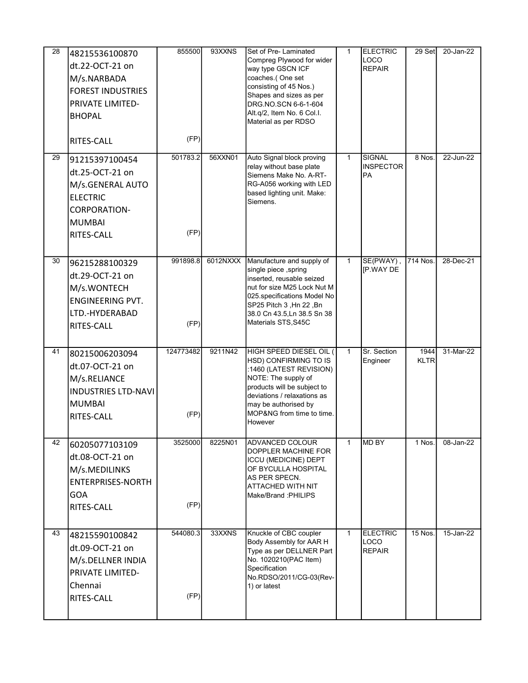| 28 | 48215536100870<br>dt.22-OCT-21 on<br>M/s.NARBADA<br><b>FOREST INDUSTRIES</b><br>PRIVATE LIMITED-<br><b>BHOPAL</b><br>RITES-CALL | 855500<br>(FP)    | 93XXNS   | Set of Pre-Laminated<br>Compreg Plywood for wider<br>way type GSCN ICF<br>coaches.(One set<br>consisting of 45 Nos.)<br>Shapes and sizes as per<br>DRG.NO.SCN 6-6-1-604<br>Alt.q/2, Item No. 6 Col.I.<br>Material as per RDSO    | $\mathbf{1}$ | <b>ELECTRIC</b><br><b>LOCO</b><br><b>REPAIR</b> | 29 Set              | 20-Jan-22 |
|----|---------------------------------------------------------------------------------------------------------------------------------|-------------------|----------|----------------------------------------------------------------------------------------------------------------------------------------------------------------------------------------------------------------------------------|--------------|-------------------------------------------------|---------------------|-----------|
| 29 | 91215397100454<br>dt.25-OCT-21 on<br>M/s.GENERAL AUTO<br><b>ELECTRIC</b><br><b>CORPORATION-</b><br><b>MUMBAI</b><br>RITES-CALL  | 501783.2<br>(FP)  | 56XXN01  | Auto Signal block proving<br>relay without base plate<br>Siemens Make No. A-RT-<br>RG-A056 working with LED<br>based lighting unit. Make:<br>Siemens.                                                                            | $\mathbf{1}$ | <b>SIGNAL</b><br><b>INSPECTOR</b><br>PA         | 8 Nos.              | 22-Jun-22 |
| 30 | 96215288100329<br>dt.29-OCT-21 on<br>M/s.WONTECH<br><b>ENGINEERING PVT.</b><br>LTD.-HYDERABAD<br>RITES-CALL                     | 991898.8<br>(FP)  | 6012NXXX | Manufacture and supply of<br>single piece, spring<br>inserted, reusable seized<br>nut for size M25 Lock Nut M<br>025. specifications Model No<br>SP25 Pitch 3, Hn 22, Bn<br>38.0 Cn 43.5, Ln 38.5 Sn 38<br>Materials STS, S45C   | $\mathbf{1}$ | SE(PWAY),<br><b>IP.WAY DE</b>                   | 714 Nos.            | 28-Dec-21 |
| 41 | 80215006203094<br>dt.07-OCT-21 on<br>M/s.RELIANCE<br><b>INDUSTRIES LTD-NAVI</b><br><b>MUMBAI</b><br>RITES-CALL                  | 124773482<br>(FP) | 9211N42  | HIGH SPEED DIESEL OIL (<br>HSD) CONFIRMING TO IS<br>:1460 (LATEST REVISION)<br>NOTE: The supply of<br>products will be subject to<br>deviations / relaxations as<br>may be authorised by<br>MOP&NG from time to time.<br>However | $\mathbf{1}$ | Sr. Section<br>Engineer                         | 1944<br><b>KLTR</b> | 31-Mar-22 |
| 42 | 60205077103109<br>dt.08-OCT-21 on<br>M/s.MEDILINKS<br><b>ENTERPRISES-NORTH</b><br><b>GOA</b><br>RITES-CALL                      | 3525000<br>(FP)   | 8225N01  | <b>ADVANCED COLOUR</b><br>DOPPLER MACHINE FOR<br><b>ICCU (MEDICINE) DEPT</b><br>OF BYCULLA HOSPITAL<br>AS PER SPECN.<br>ATTACHED WITH NIT<br>Make/Brand :PHILIPS                                                                 | $\mathbf{1}$ | MD BY                                           | 1 Nos.              | 08-Jan-22 |
| 43 | 48215590100842<br>dt.09-OCT-21 on<br>M/s.DELLNER INDIA<br><b>PRIVATE LIMITED-</b><br>Chennai<br>RITES-CALL                      | 544080.3<br>(FP)  | 33XXNS   | Knuckle of CBC coupler<br>Body Assembly for AAR H<br>Type as per DELLNER Part<br>No. 1020210(PAC Item)<br>Specification<br>No.RDSO/2011/CG-03(Rev-<br>1) or latest                                                               | $\mathbf{1}$ | <b>ELECTRIC</b><br>LOCO<br><b>REPAIR</b>        | 15 Nos.             | 15-Jan-22 |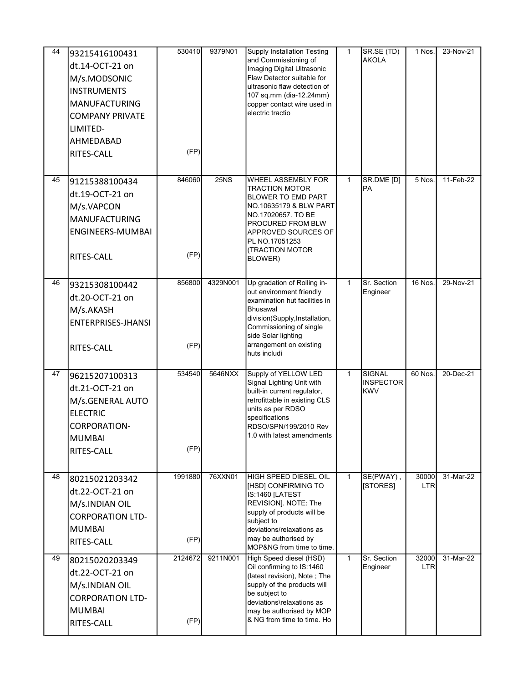| 44 | 93215416100431<br>dt.14-OCT-21 on<br>M/s.MODSONIC<br><b>INSTRUMENTS</b><br><b>MANUFACTURING</b><br><b>COMPANY PRIVATE</b><br>LIMITED-<br>AHMEDABAD<br>RITES-CALL | 530410<br>(FP)  | 9379N01         | <b>Supply Installation Testing</b><br>and Commissioning of<br>Imaging Digital Ultrasonic<br>Flaw Detector suitable for<br>ultrasonic flaw detection of<br>107 sq.mm (dia-12.24mm)<br>copper contact wire used in<br>electric tractio       | 1            | SR.SE (TD)<br><b>AKOLA</b>               | 1 Nos.              | 23-Nov-21 |
|----|------------------------------------------------------------------------------------------------------------------------------------------------------------------|-----------------|-----------------|--------------------------------------------------------------------------------------------------------------------------------------------------------------------------------------------------------------------------------------------|--------------|------------------------------------------|---------------------|-----------|
| 45 | 91215388100434<br>dt.19-OCT-21 on<br>M/s.VAPCON<br><b>MANUFACTURING</b><br>ENGINEERS-MUMBAI<br>RITES-CALL                                                        | 846060<br>(FP)  | 25 <sub>N</sub> | <b>WHEEL ASSEMBLY FOR</b><br>TRACTION MOTOR<br>BLOWER TO EMD PART<br>NO 10635179 & BLW PART<br>NO.17020657. TO BE<br>PROCURED FROM BLW<br>APPROVED SOURCES OF<br>PL NO.17051253<br>(TRACTION MOTOR<br>BLOWER)                              | $\mathbf{1}$ | SR.DME [D]<br><b>PA</b>                  | 5 Nos.              | 11-Feb-22 |
| 46 | 93215308100442<br>dt.20-OCT-21 on<br>M/s.AKASH<br><b>ENTERPRISES-JHANSI</b><br>RITES-CALL                                                                        | 856800<br>(FP)  | 4329N001        | Up gradation of Rolling in-<br>out environment friendly<br>examination hut facilities in<br><b>Bhusawal</b><br>division(Supply, Installation,<br>Commissioning of single<br>side Solar lighting<br>arrangement on existing<br>huts includi | $\mathbf{1}$ | Sr. Section<br>Engineer                  | 16 Nos.             | 29-Nov-21 |
| 47 | 96215207100313<br>dt.21-OCT-21 on<br>M/s.GENERAL AUTO<br><b>ELECTRIC</b><br><b>CORPORATION-</b><br><b>MUMBAI</b><br>RITES-CALL                                   | 534540<br>(FP)  | 5646NXX         | Supply of YELLOW LED<br>Signal Lighting Unit with<br>built-in current regulator,<br>retrofittable in existing CLS<br>units as per RDSO<br>specifications<br>RDSO/SPN/199/2010 Rev<br>1.0 with latest amendments                            | $\mathbf{1}$ | SIGNAL<br><b>INSPECTOR</b><br><b>KWV</b> | 60 Nos.             | 20-Dec-21 |
| 48 | 80215021203342<br>dt.22-OCT-21 on<br>M/s.INDIAN OIL<br><b>CORPORATION LTD-</b><br><b>MUMBAI</b><br>RITES-CALL                                                    | 1991880<br>(FP) | 76XXN01         | HIGH SPEED DIESEL OIL<br>[HSD] CONFIRMING TO<br>IS:1460 [LATEST<br>REVISION]. NOTE: The<br>supply of products will be<br>subject to<br>deviations/relaxations as<br>may be authorised by<br>MOP&NG from time to time.                      | $\mathbf{1}$ | SE(PWAY),<br>[STORES]                    | 30000<br><b>LTR</b> | 31-Mar-22 |
| 49 | 80215020203349<br>dt.22-OCT-21 on<br>M/s.INDIAN OIL<br><b>CORPORATION LTD-</b><br><b>MUMBAI</b><br>RITES-CALL                                                    | 2124672<br>(FP) | 9211N001        | High Speed diesel (HSD)<br>Oil confirming to IS:1460<br>(latest revision), Note; The<br>supply of the products will<br>be subject to<br>deviations\relaxations as<br>may be authorised by MOP<br>& NG from time to time. Ho                | $\mathbf{1}$ | Sr. Section<br>Engineer                  | 32000<br><b>LTR</b> | 31-Mar-22 |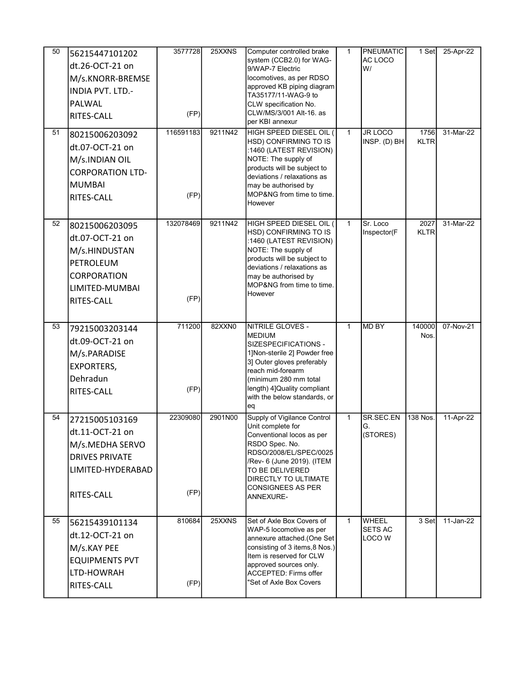| 50<br>51 | 56215447101202<br>dt.26-OCT-21 on<br>M/s.KNORR-BREMSE<br><b>INDIA PVT. LTD.-</b><br>PALWAL<br>RITES-CALL<br>80215006203092<br>dt.07-OCT-21 on<br>M/s.INDIAN OIL | 3577728<br>(FP)<br>116591183 | 25XXNS<br>9211N42 | Computer controlled brake<br>system (CCB2.0) for WAG-<br>9/WAP-7 Electric<br>locomotives, as per RDSO<br>approved KB piping diagram<br>TA35177/11-WAG-9 to<br>CLW specification No.<br>CLW/MS/3/001 Alt-16. as<br>per KBI annexur<br>HIGH SPEED DIESEL OIL (<br>HSD) CONFIRMING TO IS<br>:1460 (LATEST REVISION)<br>NOTE: The supply of | 1<br>$\mathbf{1}$ | <b>PNEUMATIC</b><br>AC LOCO<br>W/<br><b>JR LOCO</b><br>INSP. (D) BH | 1 Set<br>1756<br><b>KLTR</b> | 25-Apr-22<br>31-Mar-22 |
|----------|-----------------------------------------------------------------------------------------------------------------------------------------------------------------|------------------------------|-------------------|-----------------------------------------------------------------------------------------------------------------------------------------------------------------------------------------------------------------------------------------------------------------------------------------------------------------------------------------|-------------------|---------------------------------------------------------------------|------------------------------|------------------------|
|          | <b>CORPORATION LTD-</b><br><b>MUMBAI</b><br><b>RITES-CALL</b>                                                                                                   | (FP)                         |                   | products will be subject to<br>deviations / relaxations as<br>may be authorised by<br>MOP&NG from time to time.<br>However                                                                                                                                                                                                              |                   |                                                                     |                              |                        |
| 52       | 80215006203095<br>dt.07-OCT-21 on<br>M/s.HINDUSTAN<br>PETROLEUM<br>CORPORATION<br>LIMITED-MUMBAI<br>RITES-CALL                                                  | 132078469<br>(FP)            | 9211N42           | HIGH SPEED DIESEL OIL (<br>HSD) CONFIRMING TO IS<br>:1460 (LATEST REVISION)<br>NOTE: The supply of<br>products will be subject to<br>deviations / relaxations as<br>may be authorised by<br>MOP&NG from time to time.<br>However                                                                                                        | $\mathbf{1}$      | Sr. Loco<br>Inspector(F                                             | 2027<br><b>KLTR</b>          | 31-Mar-22              |
| 53       | 79215003203144<br>dt.09-OCT-21 on<br>M/s.PARADISE<br><b>EXPORTERS,</b><br>Dehradun<br>RITES-CALL                                                                | 711200<br>(FP)               | 82XXN0            | NITRILE GLOVES -<br><b>MEDIUM</b><br>SIZESPECIFICATIONS -<br>1]Non-sterile 2] Powder free<br>3] Outer gloves preferably<br>reach mid-forearm<br>(minimum 280 mm total<br>length) 4] Quality compliant<br>with the below standards, or<br>eq                                                                                             | $\mathbf{1}$      | <b>MD BY</b>                                                        | 140000<br>Nos.               | 07-Nov-21              |
| 54       | 27215005103169<br>dt.11-OCT-21 on<br>M/s.MEDHA SERVO<br><b>DRIVES PRIVATE</b><br>LIMITED-HYDERABAD<br>RITES-CALL                                                | 22309080<br>(FP)             | 2901N00           | Supply of Vigilance Control<br>Unit complete for<br>Conventional locos as per<br>RSDO Spec. No.<br>RDSO/2008/EL/SPEC/0025<br>/Rev- 6 (June 2019). (ITEM<br>TO BE DELIVERED<br>DIRECTLY TO ULTIMATE<br><b>CONSIGNEES AS PER</b><br>ANNEXURE-                                                                                             | 1                 | SR.SEC.EN<br>G.<br>(STORES)                                         | 138 Nos.                     | 11-Apr-22              |
| 55       | 56215439101134<br>dt.12-OCT-21 on<br>M/s.KAY PEE<br><b>EQUIPMENTS PVT</b><br>LTD-HOWRAH<br>RITES-CALL                                                           | 810684<br>(FP)               | 25XXNS            | Set of Axle Box Covers of<br>WAP-5 locomotive as per<br>annexure attached.(One Set<br>consisting of 3 items, 8 Nos.)<br>Item is reserved for CLW<br>approved sources only.<br><b>ACCEPTED: Firms offer</b><br>"Set of Axle Box Covers                                                                                                   | $\mathbf{1}$      | WHEEL<br><b>SETS AC</b><br>LOCO W                                   | 3 Set                        | 11-Jan-22              |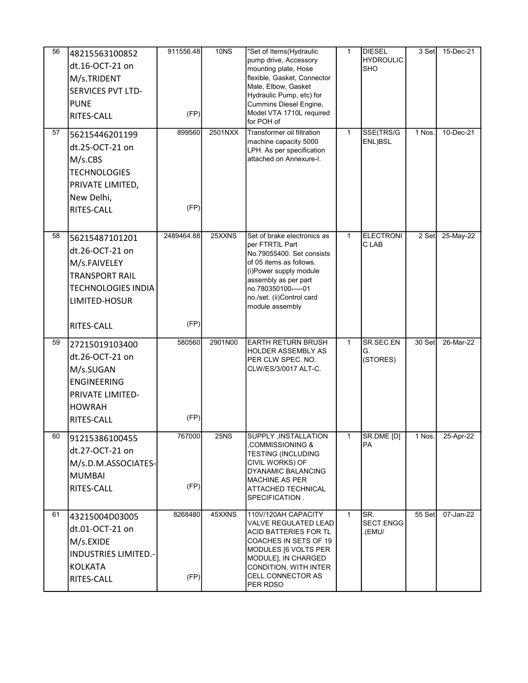| 56 | 48215563100852<br>dt.16-OCT-21 on<br>M/s.TRIDENT<br><b>SERVICES PVT LTD-</b><br><b>PUNE</b><br>RITES-CALL                              | 911556.48<br>(FP)  | 10 <sub>N</sub> | "Set of Items(Hydraulic<br>pump drive, Accessory<br>mounting plate, Hose<br>flexible, Gasket, Connector<br>Male, Elbow, Gasket<br>Hydraulic Pump, etc) for<br>Cummins Diesel Engine,<br>Model VTA 1710L required<br>for POH of  | $\mathbf{1}$ | <b>DIESEL</b><br><b>HYDROULIC</b><br><b>SHO</b> | 3 Set  | 15-Dec-21 |
|----|----------------------------------------------------------------------------------------------------------------------------------------|--------------------|-----------------|---------------------------------------------------------------------------------------------------------------------------------------------------------------------------------------------------------------------------------|--------------|-------------------------------------------------|--------|-----------|
| 57 | 56215446201199<br>dt.25-OCT-21 on<br>M/s.CBS<br><b>TECHNOLOGIES</b><br>PRIVATE LIMITED,<br>New Delhi,<br>RITES-CALL                    | 899560<br>(FP)     | 2501NXX         | Transformer oil filtration<br>machine capacity 5000<br>LPH. As per specification<br>attached on Annexure-I.                                                                                                                     | $\mathbf{1}$ | SSE(TRS/G<br>ENL)BSL                            | 1 Nos. | 10-Dec-21 |
| 58 | 56215487101201<br>dt.26-OCT-21 on<br>M/s.FAIVELEY<br><b>TRANSPORT RAIL</b><br><b>TECHNOLOGIES INDIA</b><br>LIMITED-HOSUR<br>RITES-CALL | 2489464.88<br>(FP) | 25XXNS          | Set of brake electronics as<br>per FTRTIL Part<br>No.79055400. Set consists<br>of 05 items as follows.<br>(i)Power supply module<br>assembly as per part<br>no.780350100-----01<br>no./set. (ii)Control card<br>module assembly | $\mathbf{1}$ | <b>ELECTRONI</b><br>C LAB                       | 2 Set  | 25-May-22 |
| 59 | 27215019103400<br>dt.26-OCT-21 on<br>M/s.SUGAN<br><b>ENGINEERING</b><br>PRIVATE LIMITED-<br><b>HOWRAH</b><br>RITES-CALL                | 580560<br>(FP)     | 2901N00         | <b>EARTH RETURN BRUSH</b><br>HOLDER ASSEMBLY AS<br>PER CLW SPEC. NO.<br>CLW/ES/3/0017 ALT-C.                                                                                                                                    | $\mathbf{1}$ | SR.SEC.EN<br>G.<br>(STORES)                     | 30 Set | 26-Mar-22 |
| 60 | 91215386100455<br>dt.27-OCT-21 on<br>M/s.D.M.ASSOCIATES-<br><b>MUMBAI</b><br>RITES-CALL                                                | 767000<br>(FP)     | 25NS            | SUPPLY, INSTALLATION<br>COMMISSIONING &<br>TESTING (INCLUDING<br>CIVIL WORKS) OF<br><b>DYANAMIC BALANCING</b><br>MACHINE AS PER<br>ATTACHED TECHNICAL<br>SPECIFICATION.                                                         | $\mathbf{1}$ | SR.DME [D]<br><b>PA</b>                         | 1 Nos. | 25-Apr-22 |
| 61 | 43215004D03005<br>dt.01-OCT-21 on<br>M/s.EXIDE<br><b>INDUSTRIES LIMITED.-</b><br>KOLKATA<br>RITES-CALL                                 | 8268480<br>(FP)    | 45XXNS          | 110V/120AH CAPACITY<br>VALVE REGULATED LEAD<br>ACID BATTERIES FOR TL<br>COACHES IN SETS OF 19<br>MODULES [6 VOLTS PER<br>MODULE], IN CHARGED<br>CONDITION, WITH INTER<br>CELL CONNECTOR AS<br>PER RDSO                          | $\mathbf{1}$ | SR.<br>SECT.ENGG<br>.(EMU/                      | 55 Set | 07-Jan-22 |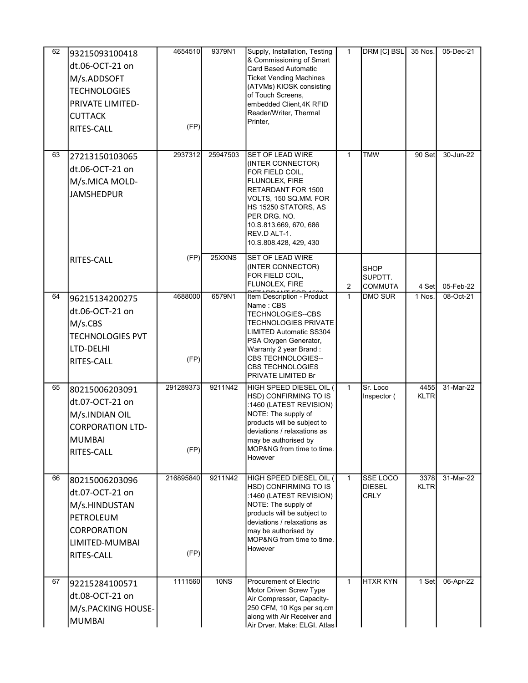| 62 | 93215093100418<br>dt.06-OCT-21 on<br>M/s.ADDSOFT<br><b>TECHNOLOGIES</b><br>PRIVATE LIMITED-<br><b>CUTTACK</b><br>RITES-CALL | 4654510<br>(FP)   | 9379N1      | Supply, Installation, Testing<br>& Commissioning of Smart<br><b>Card Based Automatic</b><br><b>Ticket Vending Machines</b><br>(ATVMs) KIOSK consisting<br>of Touch Screens,<br>embedded Client, 4K RFID<br>Reader/Writer, Thermal<br>Printer,    | $\mathbf{1}$ | DRM [C] BSL                                     | 35 Nos.             | 05-Dec-21 |
|----|-----------------------------------------------------------------------------------------------------------------------------|-------------------|-------------|--------------------------------------------------------------------------------------------------------------------------------------------------------------------------------------------------------------------------------------------------|--------------|-------------------------------------------------|---------------------|-----------|
| 63 | 27213150103065<br>dt.06-OCT-21 on<br>M/s.MICA MOLD-<br><b>JAMSHEDPUR</b>                                                    | 2937312           | 25947503    | <b>SET OF LEAD WIRE</b><br>(INTER CONNECTOR)<br>FOR FIELD COIL,<br>FLUNOLEX, FIRE<br>RETARDANT FOR 1500<br>VOLTS, 150 SQ.MM. FOR<br>HS 15250 STATORS, AS<br>PER DRG. NO.<br>10.S.813.669, 670, 686<br>REV.D ALT-1.<br>10.S.808.428, 429, 430     | $\mathbf{1}$ | <b>TMW</b>                                      | 90 Set              | 30-Jun-22 |
|    | RITES-CALL                                                                                                                  | (FP)              | 25XXNS      | <b>SET OF LEAD WIRE</b><br>(INTER CONNECTOR)<br>FOR FIELD COIL,<br>FLUNOLEX, FIRE                                                                                                                                                                | 2            | <b>SHOP</b><br>SUPDTT.<br><b>COMMUTA</b>        | 4 Set               | 05-Feb-22 |
| 64 | 96215134200275<br>dt.06-OCT-21 on<br>M/s.CBS<br><b>TECHNOLOGIES PVT</b><br>LTD-DELHI<br>RITES-CALL                          | 4688000<br>(FP)   | 6579N1      | Item Description - Product<br>Name: CBS<br>TECHNOLOGIES--CBS<br>TECHNOLOGIES PRIVATE<br>LIMITED Automatic SS304<br>PSA Oxygen Generator,<br>Warranty 2 year Brand:<br><b>CBS TECHNOLOGIES--</b><br><b>CBS TECHNOLOGIES</b><br>PRIVATE LIMITED Br | $\mathbf{1}$ | <b>DMO SUR</b>                                  | 1 Nos.              | 08-Oct-21 |
| 65 | 80215006203091<br>dt.07-OCT-21 on<br>M/s.INDIAN OIL<br><b>CORPORATION LTD-</b><br><b>MUMBAI</b><br>RITES-CALL               | 291289373<br>(FP) | 9211N42     | HIGH SPEED DIESEL OIL (<br>HSD) CONFIRMING TO IS<br>:1460 (LATEST REVISION)<br>NOTE: The supply of<br>products will be subject to<br>deviations / relaxations as<br>may be authorised by<br>MOP&NG from time to time.<br>However                 | $\mathbf{1}$ | Sr. Loco<br>Inspector (                         | 4455<br><b>KLTR</b> | 31-Mar-22 |
| 66 | 80215006203096<br>dt.07-OCT-21 on<br>M/s.HINDUSTAN<br>PETROLEUM<br><b>CORPORATION</b><br>LIMITED-MUMBAI<br>RITES-CALL       | 216895840<br>(FP) | 9211N42     | HIGH SPEED DIESEL OIL (<br>HSD) CONFIRMING TO IS<br>:1460 (LATEST REVISION)<br>NOTE: The supply of<br>products will be subject to<br>deviations / relaxations as<br>may be authorised by<br>MOP&NG from time to time.<br>However                 | $\mathbf{1}$ | <b>SSE LOCO</b><br><b>DIESEL</b><br><b>CRLY</b> | 3378<br>KLTR        | 31-Mar-22 |
| 67 | 92215284100571<br>dt.08-OCT-21 on<br>M/s.PACKING HOUSE-<br><b>MUMBAI</b>                                                    | 1111560           | <b>10NS</b> | <b>Procurement of Electric</b><br>Motor Driven Screw Type<br>Air Compressor, Capacity-<br>250 CFM, 10 Kgs per sq.cm<br>along with Air Receiver and<br>Air Drver. Make: ELGI. Atlas                                                               | $\mathbf{1}$ | <b>HTXR KYN</b>                                 | 1 Set               | 06-Apr-22 |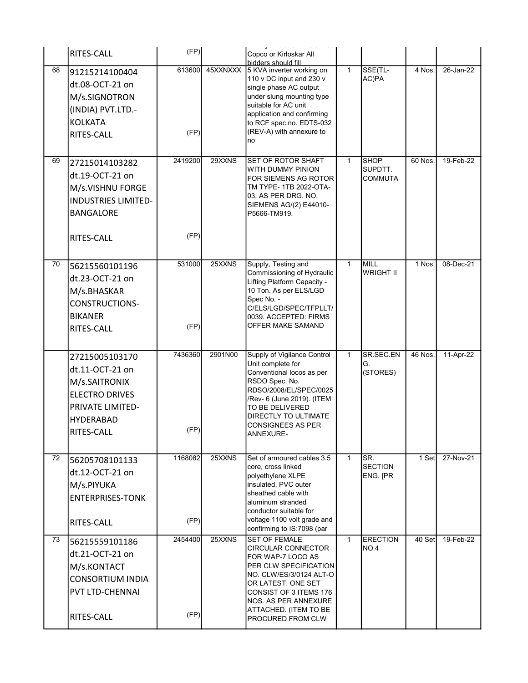|    | RITES-CALL                                                                                                                        | (FP)            |          | Copco or Kirloskar All                                                                                                                                                                                                                                  |                |                                          |          |           |
|----|-----------------------------------------------------------------------------------------------------------------------------------|-----------------|----------|---------------------------------------------------------------------------------------------------------------------------------------------------------------------------------------------------------------------------------------------------------|----------------|------------------------------------------|----------|-----------|
| 68 | 91215214100404<br>dt.08-OCT-21 on<br>M/s.SIGNOTRON<br>(INDIA) PVT.LTD.-<br><b>KOLKATA</b><br>RITES-CALL                           | 613600<br>(FP)  | 45XXNXXX | bidders should fill<br>5 KVA inverter working on<br>110 v DC input and 230 v<br>single phase AC output<br>under slung mounting type<br>suitable for AC unit<br>application and confirming<br>to RCF spec.no. EDTS-032<br>(REV-A) with annexure to<br>no | $\overline{1}$ | SSE(TL-<br>AC)PA                         | 4 Nos.   | 26-Jan-22 |
| 69 | 27215014103282<br>dt.19-OCT-21 on<br>M/s.VISHNU FORGE<br><b>INDUSTRIES LIMITED-</b><br><b>BANGALORE</b><br>RITES-CALL             | 2419200<br>(FP) | 29XXNS   | <b>SET OF ROTOR SHAFT</b><br>WITH DUMMY PINION<br>FOR SIEMENS AG ROTOR<br>TM TYPE- 1TB 2022-OTA-<br>03, AS PER DRG. NO.<br>SIEMENS AG/(2) E44010-<br>P5666-TM919.                                                                                       | $\mathbf{1}$   | <b>SHOP</b><br>SUPDTT.<br><b>COMMUTA</b> | 60 Nos.  | 19-Feb-22 |
| 70 | 56215560101196<br>dt.23-OCT-21 on<br>M/s.BHASKAR<br><b>CONSTRUCTIONS-</b><br><b>BIKANER</b><br>RITES-CALL                         | 531000<br>(FP)  | 25XXNS   | Supply, Testing and<br>Commissioning of Hydraulic<br>Lifting Platform Capacity -<br>10 Ton. As per ELS/LGD<br>Spec No. -<br>C/ELS/LGD/SPEC/TFPLLT/<br>0039. ACCEPTED: FIRMS<br>OFFER MAKE SAMAND                                                        | $\mathbf{1}$   | <b>MILL</b><br><b>WRIGHT II</b>          | $1$ Nos. | 08-Dec-21 |
|    | 27215005103170<br>dt.11-OCT-21 on<br>M/s.SAITRONIX<br><b>ELECTRO DRIVES</b><br>PRIVATE LIMITED-<br><b>HYDERABAD</b><br>RITES-CALL | 7436360<br>(FP) | 2901N00  | Supply of Vigilance Control<br>Unit complete for<br>Conventional locos as per<br>RSDO Spec. No.<br>RDSO/2008/EL/SPEC/0025<br>/Rev- 6 (June 2019). (ITEM<br>TO BE DELIVERED<br>DIRECTLY TO ULTIMATE<br><b>CONSIGNEES AS PER</b><br>ANNEXURE-             | $\mathbf{1}$   | SR.SEC.EN<br>G.<br>(STORES)              | 46 Nos.  | 11-Apr-22 |
| 72 | 56205708101133<br>dt.12-OCT-21 on<br>M/s.PIYUKA<br><b>ENTERPRISES-TONK</b><br>RITES-CALL                                          | 1168082<br>(FP) | 25XXNS   | Set of armoured cables 3.5<br>core, cross linked<br>polyethylene XLPE<br>insulated, PVC outer<br>sheathed cable with<br>aluminum stranded<br>conductor suitable for<br>voltage 1100 volt grade and<br>confirming to IS:7098 (par                        | $\mathbf{1}$   | SR.<br><b>SECTION</b><br>ENG. [PR        | 1 Set    | 27-Nov-21 |
| 73 | 56215559101186<br>dt.21-OCT-21 on<br>M/s.KONTACT<br><b>CONSORTIUM INDIA</b><br>PVT LTD-CHENNAI<br>RITES-CALL                      | 2454400<br>(FP) | 25XXNS   | <b>SET OF FEMALE</b><br>CIRCULAR CONNECTOR<br>FOR WAP-7 LOCO AS<br>PER CLW SPECIFICATION<br>NO. CLW/ES/3/0124 ALT-O<br>OR LATEST. ONE SET<br>CONSIST OF 3 ITEMS 176<br>NOS. AS PER ANNEXURE<br>ATTACHED. (ITEM TO BE<br>PROCURED FROM CLW               | $\mathbf{1}$   | <b>ERECTION</b><br><b>NO.4</b>           | 40 Set   | 19-Feb-22 |